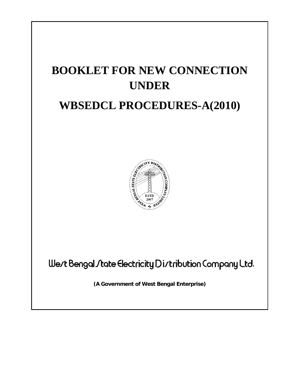# **BOOKLET FOR NEW CONNECTION UNDER**

## **WBSEDCL PROCEDURES-A(2010)**



Wert Bengal *I* tate Electricity Dirtribution Company Ltd.

**(A Government of West Bengal Enterprise)**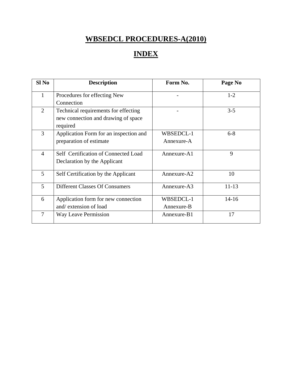## **WBSEDCL PROCEDURES-A(2010)**

## **INDEX**

| Sl <sub>No</sub> | <b>Description</b>                     | Form No.    | Page No   |
|------------------|----------------------------------------|-------------|-----------|
| 1                | Procedures for effecting New           |             | $1 - 2$   |
|                  | Connection                             |             |           |
| $\overline{2}$   | Technical requirements for effecting   |             | $3 - 5$   |
|                  | new connection and drawing of space    |             |           |
|                  | required                               |             |           |
| 3                | Application Form for an inspection and | WBSEDCL-1   | $6 - 8$   |
|                  | preparation of estimate                | Annexure-A  |           |
|                  | Self Certification of Connected Load   |             | 9         |
| $\overline{4}$   |                                        | Annexure-A1 |           |
|                  | Declaration by the Applicant           |             |           |
| 5                | Self Certification by the Applicant    | Annexure-A2 | 10        |
|                  |                                        |             |           |
| 5                | <b>Different Classes Of Consumers</b>  | Annexure-A3 | $11 - 13$ |
| 6                | Application form for new connection    | WBSEDCL-1   | $14 - 16$ |
|                  | and/extension of load                  | Annexure-B  |           |
| $\tau$           | Way Leave Permission                   | Annexure-B1 | 17        |
|                  |                                        |             |           |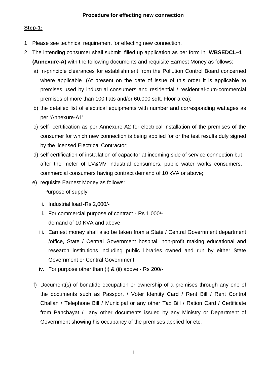#### **Procedure for effecting new connection**

#### **Step-1:**

- 1. Please see technical requirement for effecting new connection.
- 2. The intending consumer shall submit filled up application as per form in **WBSEDCL–1 (Annexure-A)** with the following documents and requisite Earnest Money as follows:
	- a) In-principle clearances for establishment from the Pollution Control Board concerned where applicable .(At present on the date of issue of this order it is applicable to premises used by industrial consumers and residential / residential-cum-commercial premises of more than 100 flats and/or 60,000 sqft. Floor area);
	- b) the detailed list of electrical equipments with number and corresponding wattages as per 'Annexure-A1'
	- c) self- certification as per Annexure-A2 for electrical installation of the premises of the consumer for which new connection is being applied for or the test results duly signed by the licensed Electrical Contractor;
	- d) self certification of installation of capacitor at incoming side of service connection but after the meter of LV&MV industrial consumers, public water works consumers, commercial consumers having contract demand of 10 kVA or above;
	- e) requisite Earnest Money as follows: Purpose of supply
		- i. Industrial load -Rs.2,000/-
		- ii. For commercial purpose of contract Rs 1,000/ demand of 10 KVA and above
		- iii. Earnest money shall also be taken from a State / Central Government department /office, State / Central Government hospital, non-profit making educational and research institutions including public libraries owned and run by either State Government or Central Government.
		- iv. For purpose other than (i) & (ii) above Rs 200/-
	- f) Document(s) of bonafide occupation or ownership of a premises through any one of the documents such as Passport / Voter Identity Card / Rent Bill / Rent Control Challan / Telephone Bill / Municipal or any other Tax Bill / Ration Card / Certificate from Panchayat / any other documents issued by any Ministry or Department of Government showing his occupancy of the premises applied for etc.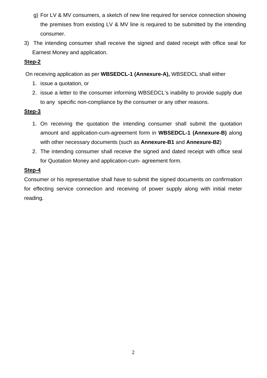- g) For LV & MV consumers, a sketch of new line required for service connection showing the premises from existing LV & MV line is required to be submitted by the intending consumer.
- 3) The intending consumer shall receive the signed and dated receipt with office seal for Earnest Money and application.

#### **Step-2**

On receiving application as per **WBSEDCL-1 (Annexure-A),** WBSEDCL shall either

- 1. issue a quotation, or
- 2. issue a letter to the consumer informing WBSEDCL's inability to provide supply due to any specific non-compliance by the consumer or any other reasons.

#### **Step-3**

- 1. On receiving the quotation the intending consumer shall submit the quotation amount and application-cum-agreement form in **WBSEDCL-1 (Annexure-B)** along with other necessary documents (such as **Annexure-B1** and **Annexure-B2**)
- 2. The intending consumer shall receive the signed and dated receipt with office seal for Quotation Money and application-cum- agreement form.

#### **Step-4**

Consumer or his representative shall have to submit the signed documents on confirmation for effecting service connection and receiving of power supply along with initial meter reading.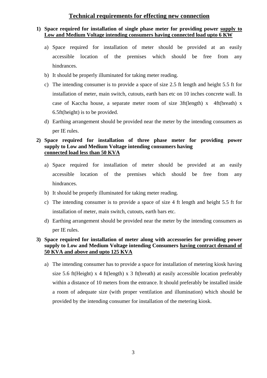#### **Technical requirements for effecting new connection**

#### **1) Space required for installation of single phase meter for providing power supply to Low and Medium Voltage intending consumers having connected load upto 6 KW**

- a) Space required for installation of meter should be provided at an easily accessible location of the premises which should be free from any hindrances.
- b) It should be properly illuminated for taking meter reading.
- c) The intending consumer is to provide a space of size 2.5 ft length and height 5.5 ft for installation of meter, main switch, cutouts, earth bars etc on 10 inches concrete wall. In case of Kaccha house, a separate meter room of size 3ft(length) x 4ft(breath) x 6.5ft(height) is to be provided.
- d) Earthing arrangement should be provided near the meter by the intending consumers as per IE rules.

#### **2) Space required for installation of three phase meter for providing power supply to Low and Medium Voltage intending consumers having connected load less than 50 KVA**

- a) Space required for installation of meter should be provided at an easily accessible location of the premises which should be free from any hindrances.
- b) It should be properly illuminated for taking meter reading.
- c) The intending consumer is to provide a space of size 4 ft length and height 5.5 ft for installation of meter, main switch, cutouts, earth bars etc.
- d) Earthing arrangement should be provided near the meter by the intending consumers as per IE rules.

#### **3) Space required for installation of meter along with accessories for providing power supply to Low and Medium Voltage intending Consumers having contract demand of 50 KVA and above and upto 125 KVA**

a) The intending consumer has to provide a space for installation of metering kiosk having size 5.6 ft(Height) x 4 ft(length) x 3 ft(breath) at easily accessible location preferably within a distance of 10 meters from the entrance. It should preferably be installed inside a room of adequate size (with proper ventilation and illumination) which should be provided by the intending consumer for installation of the metering kiosk.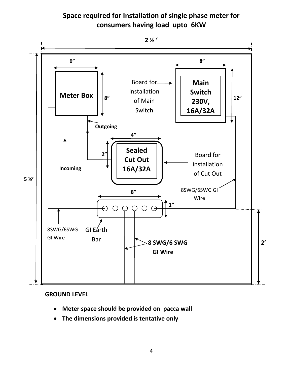### **Space required for Installation of single phase meter for consumers having load upto 6KW**



#### **GROUND LEVEL**

- **Meter space should be provided on pacca wall**
- **The dimensions provided is tentative only**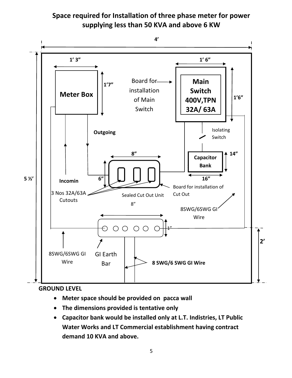



#### **GROUND LEVEL**

- **Meter space should be provided on pacca wall**
- **The dimensions provided is tentative only**
- **Capacitor bank would be installed only at L.T. Indistries, LT Public Water Works and LT Commercial establishment having contract demand 10 KVA and above.**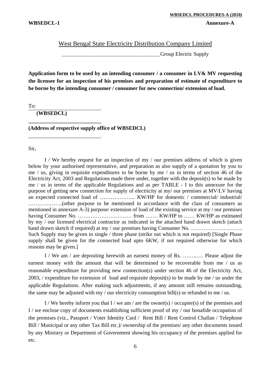#### West Bengal State Electricity Distribution Company Limited

\_\_\_\_\_\_\_\_\_\_\_\_\_\_\_\_\_\_\_\_\_\_\_\_\_\_\_\_\_\_\_\_\_\_\_\_\_\_\_\_\_\_\_\_Group Electric Supply

**Application form to be used by an intending consumer / a consumer in LV& MV requesting the licensee for an inspection of his premises and preparation of estimate of expenditure to be borne by the intending consumer / consumer for new connection/ extension of load.** 

To:

**(WBSEDCL)** 

**\_\_\_\_\_\_\_\_\_\_\_\_\_\_\_\_\_\_\_\_\_\_\_\_\_\_\_** 

\_\_\_\_\_\_\_\_\_\_\_\_\_\_\_\_\_\_\_\_\_\_\_\_\_\_\_

**(Address of respective supply office of WBSEDCL)** 

Sir,

I / We hereby request for an inspection of my / our premises address of which is given below by your authorised representative, and preparation as also supply of a quotation by you to me / us, giving in requisite expenditures to be borne by me / us in terms of section 46 of the Electricity Act, 2003 and Regulations made there under, together with the deposit(s) to be made by me / us in terms of the applicable Regulations and as per TABLE - I to this annexure for the purpose of getting new connection for supply of electricity at my/ our premises at MV/LV having an expected connected load of ……………….. KW/HP for domestic / commercial/ industrial/ ……………….(other purpose to be mentioned in accordance with the class of consumers as mentioned in annexure A-3) purpose/ extension of load of the existing service at my / our premises having Consumer No. ………………………… from ……. KW/HP to …… KW/HP as estimated by my / our licensed electrical contractor as indicated in the attached hand drawn sketch (attach hand drawn sketch if required) at my / our premises having Consumer No. ……………………… Such Supply may be given in single / three phase (strike out which is not required) [Single Phase supply shall be given for the connected load upto 6KW, if not required otherwise for which reasons may be given.]

I / We am / are depositing herewith an earnest money of Rs. ……..…. Please adjust the earnest money with the amount that will be determined to be recoverable from me / us as reasonable expenditure for providing new connection(s) under section 46 of the Electricity Act,  $2003$ , / expenditure for extension of load and requisite deposit(s) to be made by me / us under the applicable Regulations. After making such adjustments, if any amount still remains outstanding, the same may be adjusted with my / our electricity consumption bill(s) or refunded to me / us.

I / We hereby inform you that I / we am / are the owner(s) / occupier(s) of the premises and I / we enclose copy of documents establishing sufficient proof of my / our bonafide occupation of the premises (viz., Passport / Voter Identity Card / Rent Bill / Rent Control Challan / Telephone Bill / Municipal or any other Tax Bill etc.)/ ownership of the premises/ any other documents issued by any Ministry or Department of Government showing his occupancy of the premises applied for etc.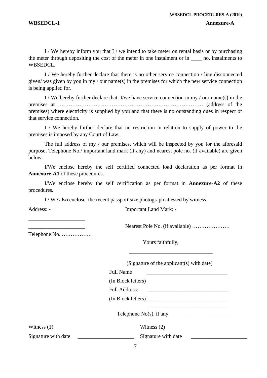I / We hereby inform you that I / we intend to take meter on rental basis or by purchasing the meter through depositing the cost of the meter in one instalment or in \_\_\_\_ no. instalments to WBSEDCL.

I / We hereby further declare that there is no other service connection / line disconnected given/ was given by you in my / our name(s) in the premises for which the new service connection is being applied for.

I / We hereby further declare that I/we have service connection in my / our name(s) in the premises at ……………………………………………………………………… (address of the premises) where electricity is supplied by you and that there is no outstanding dues in respect of that service connection.

 I / We hereby further declare that no restriction in relation to supply of power to the premises is imposed by any Court of Law.

The full address of my / our premises, which will be inspected by you for the aforesaid purpose, Telephone No./ important land mark (if any) and nearest pole no. (if available) are given below.

I/We enclose hereby the self certified connected load declaration as per format in **Annexure-A1** of these procedures.

I/We enclose hereby the self certification as per format in **Annexure-A2** of these procedures.

I / We also enclose the recent passport size photograph attested by witness.

Address: - Important Land Mark: -

\_\_\_\_\_\_\_\_\_\_\_\_\_\_\_\_\_\_\_\_\_

Telephone No. …………….

Yours faithfully,

 $\overline{\phantom{a}}$  ,  $\overline{\phantom{a}}$  ,  $\overline{\phantom{a}}$  ,  $\overline{\phantom{a}}$  ,  $\overline{\phantom{a}}$  ,  $\overline{\phantom{a}}$  ,  $\overline{\phantom{a}}$  ,  $\overline{\phantom{a}}$  ,  $\overline{\phantom{a}}$  ,  $\overline{\phantom{a}}$  ,  $\overline{\phantom{a}}$  ,  $\overline{\phantom{a}}$  ,  $\overline{\phantom{a}}$  ,  $\overline{\phantom{a}}$  ,  $\overline{\phantom{a}}$  ,  $\overline{\phantom{a}}$ 

(Signature of the applicant(s) with date)

Nearest Pole No. (if available) ……………………

\_\_\_\_\_\_\_\_\_\_\_\_\_\_\_\_\_\_\_\_\_\_\_\_\_\_\_\_\_\_

Full Name <u>\_\_\_\_\_\_\_\_\_\_\_\_\_\_\_\_\_\_\_\_\_\_\_\_</u>

(In Block letters)

Full Address: \_\_\_\_\_\_\_\_\_\_\_\_\_\_\_\_\_\_\_\_\_\_\_\_\_\_\_\_\_\_

(In Block letters)

Telephone  $No(s)$ , if any

Witness (1) Witness (2)

Signature with date Signature with date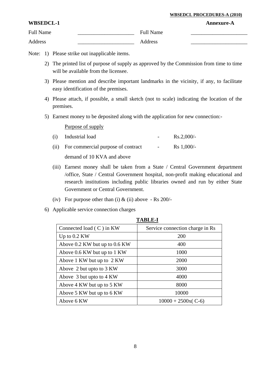#### **WBSEDCL PROCEDURES-A (2010)**

| WBSEDCL-1        |                  | <b>Annexure-A</b> |
|------------------|------------------|-------------------|
| <b>Full Name</b> | <b>Full Name</b> |                   |
| Address          | <b>Address</b>   |                   |

- Note: 1) Please strike out inapplicable items.
	- 2) The printed list of purpose of supply as approved by the Commission from time to time will be available from the licensee.
	- 3) Please mention and describe important landmarks in the vicinity, if any, to facilitate easy identification of the premises.
	- 4) Please attach, if possible, a small sketch (not to scale) indicating the location of the premises.
	- 5) Earnest money to be deposited along with the application for new connection:-

| (i) Industrial load                     |                         | $Rs.2,000/-$      |
|-----------------------------------------|-------------------------|-------------------|
| (ii) For commercial purpose of contract | $\sim 100$ km s $^{-1}$ | $\rm Rs\ 1.000/-$ |
| demand of 10 KVA and above              |                         |                   |

- (iii) Earnest money shall be taken from a State / Central Government department /office, State / Central Government hospital, non-profit making educational and research institutions including public libraries owned and run by either State Government or Central Government.
- (iv) For purpose other than (i)  $&$  (ii) above Rs 200/-
- 6) Applicable service connection charges

| TADLE-I                       |                                 |  |  |  |  |
|-------------------------------|---------------------------------|--|--|--|--|
| Connected load $(C)$ in KW    | Service connection charge in Rs |  |  |  |  |
| Up to 0.2 KW                  | 200                             |  |  |  |  |
| Above 0.2 KW but up to 0.6 KW | 400                             |  |  |  |  |
| Above 0.6 KW but up to 1 KW   | 1000                            |  |  |  |  |
| Above 1 KW but up to 2 KW     | 2000                            |  |  |  |  |
| Above 2 but upto to 3 KW      | 3000                            |  |  |  |  |
| Above 3 but upto to 4 KW      | 4000                            |  |  |  |  |
| Above 4 KW but up to 5 KW     | 8000                            |  |  |  |  |
| Above 5 KW but up to 6 KW     | 10000                           |  |  |  |  |
| Above 6 KW                    | $10000 + 2500x(C-6)$            |  |  |  |  |

**TABLE-I**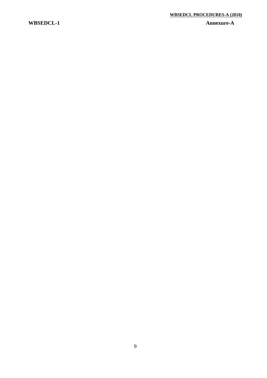#### **WBSEDCL-1 Annexure-A**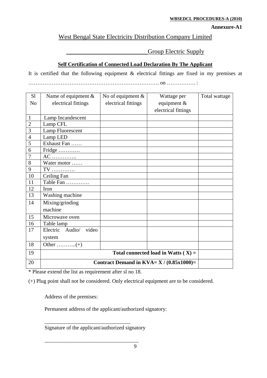#### **WBSEDCL PROCEDURES-A (2010)**

#### **Annexure-A1**

#### West Bengal State Electricity Distribution Company Limited

#### Group Electric Supply

#### **Self Certification of Connected Load Declaration By The Applicant**

It is certified that the following equipment & electrical fittings are fixed in my premises at ………………………………………………………………. on ……………. :

| S <sub>1</sub> | Name of equipment $\&$                       | No of equipment $\&$ | Wattage per                           | Total wattage |
|----------------|----------------------------------------------|----------------------|---------------------------------------|---------------|
| N <sub>o</sub> | electrical fittings                          | electrical fittings  | equipment $\&$                        |               |
|                |                                              |                      | electrical fittings                   |               |
| $\mathbf{1}$   | Lamp Incandescent                            |                      |                                       |               |
| $\overline{2}$ | Lamp CFL                                     |                      |                                       |               |
| 3              | <b>Lamp Fluorescent</b>                      |                      |                                       |               |
| $\overline{4}$ | Lamp LED                                     |                      |                                       |               |
| 5              | Exhaust Fan                                  |                      |                                       |               |
| 6              | Fridge                                       |                      |                                       |               |
| 7              | $AC$                                         |                      |                                       |               |
| 8              | Water motor                                  |                      |                                       |               |
| 9              | TV                                           |                      |                                       |               |
| 10             | Ceiling Fan                                  |                      |                                       |               |
| 11             | Table Fan                                    |                      |                                       |               |
| 12             | Iron                                         |                      |                                       |               |
| 13             | Washing machine                              |                      |                                       |               |
| 14             | Mixing/grinding                              |                      |                                       |               |
|                | machine                                      |                      |                                       |               |
| 15             | Microwave oven                               |                      |                                       |               |
| 16             | Table lamp                                   |                      |                                       |               |
| 17             | Electric Audio/<br>video                     |                      |                                       |               |
|                | system                                       |                      |                                       |               |
| 18             |                                              |                      |                                       |               |
| 19             |                                              |                      | Total connected load in Watts $(X)$ = |               |
| 20             | Contract Demand in $KVA = X / (0.85x1000) =$ |                      |                                       |               |

\* Please extend the list as requirement after sl no 18.

(+) Plug point shall not be considered. Only electrical equipment are to be considered.

Address of the premises:

Permanent address of the applicant/authorized signatory:

Signature of the applicant/authorized signatory

\_\_\_\_\_\_\_\_\_\_\_\_\_\_\_\_\_\_\_\_\_\_\_\_\_\_\_\_\_\_\_\_\_\_\_

\_\_\_\_\_\_\_\_\_\_\_\_\_\_\_\_\_\_\_\_\_\_\_\_\_\_\_\_\_\_\_\_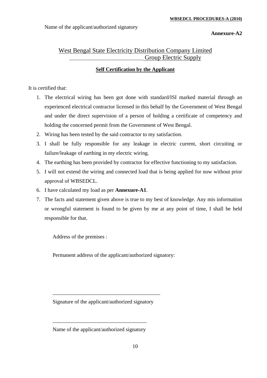Name of the applicant/authorized signatory

**Annexure-A2** 

#### West Bengal State Electricity Distribution Company Limited Group Electric Supply

#### **Self Certification by the Applicant**

#### It is certified that:

- 1. The electrical wiring has been got done with standard/ISI marked material through an experienced electrical contractor licensed in this behalf by the Government of West Bengal and under the direct supervision of a person of holding a certificate of competency and holding the concerned permit from the Government of West Bengal.
- 2. Wiring has been tested by the said contractor to my satisfaction.
- 3. I shall be fully responsible for any leakage in electric current, short circuiting or failure/leakage of earthing in my electric wiring.
- 4. The earthing has been provided by contractor for effective functioning to my satisfaction.
- 5. I will not extend the wiring and connected load that is being applied for now without prior approval of WBSEDCL.
- 6. I have calculated my load as per **Annexure-A1**.
- 7. The facts and statement given above is true to my best of knowledge. Any mis information or wrongful statement is found to be given by me at any point of time, I shall be held responsible for that.

Address of the premises :

Permanent address of the applicant/authorized signatory:

Signature of the applicant/authorized signatory

\_\_\_\_\_\_\_\_\_\_\_\_\_\_\_\_\_\_\_\_\_\_\_\_\_\_\_\_\_\_\_\_\_\_\_\_\_\_\_\_

\_\_\_\_\_\_\_\_\_\_\_\_\_\_\_\_\_\_\_\_\_\_\_\_\_\_\_\_\_\_\_\_\_\_\_

Name of the applicant/authorized signatory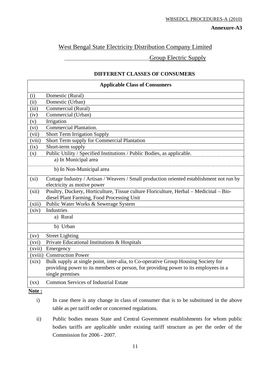**Annexure-A3** 

#### West Bengal State Electricity Distribution Company Limited

Group Electric Supply

#### **DIFFERENT CLASSES OF CONSUMERS**

| <b>Applicable Class of Consumers</b> |                                                                                                                                                                           |  |  |
|--------------------------------------|---------------------------------------------------------------------------------------------------------------------------------------------------------------------------|--|--|
| (i)                                  | Domestic (Rural)                                                                                                                                                          |  |  |
| (ii)                                 | Domestic (Urban)                                                                                                                                                          |  |  |
| (iii)                                | Commercial (Rural)                                                                                                                                                        |  |  |
| (iv)                                 | Commercial (Urban)                                                                                                                                                        |  |  |
| (v)                                  | Irrigation                                                                                                                                                                |  |  |
| (vi)                                 | <b>Commercial Plantation.</b>                                                                                                                                             |  |  |
| (vii)                                | <b>Short Term Irrigation Supply</b>                                                                                                                                       |  |  |
| (viii)                               | Short Term supply for Commercial Plantation                                                                                                                               |  |  |
| (ix)                                 | Short-term supply                                                                                                                                                         |  |  |
| (x)                                  | Public Utility / Specified Institutions / Public Bodies, as applicable.                                                                                                   |  |  |
|                                      | a) In Municipal area                                                                                                                                                      |  |  |
|                                      | b) In Non-Municipal area                                                                                                                                                  |  |  |
| (xi)                                 | Cottage Industry / Artisan / Weavers / Small production oriented establishment not run by                                                                                 |  |  |
|                                      | electricity as motive power                                                                                                                                               |  |  |
| (xii)                                | Poultry, Duckery, Horticulture, Tissue culture Floriculture, Herbal - Medicinal - Bio-                                                                                    |  |  |
|                                      | diesel Plant Farming, Food Processing Unit                                                                                                                                |  |  |
| (xiii)                               | Public Water Works & Sewerage System                                                                                                                                      |  |  |
| (xiv)                                | <b>Industries</b>                                                                                                                                                         |  |  |
|                                      | a) Rural                                                                                                                                                                  |  |  |
|                                      | b) Urban                                                                                                                                                                  |  |  |
| $\left( xy\right)$                   | <b>Street Lighting</b>                                                                                                                                                    |  |  |
| (xvi)                                | Private Educational Institutions & Hospitals                                                                                                                              |  |  |
| (xvii)                               | Emergency                                                                                                                                                                 |  |  |
| (xviii)                              | <b>Construction Power</b>                                                                                                                                                 |  |  |
| (xix)                                | Bulk supply at single point, inter-alia, to Co-operative Group Housing Society for<br>providing power to its members or person, for providing power to its employees in a |  |  |
|                                      | single premises                                                                                                                                                           |  |  |
| $(\mathbf{X}\mathbf{X})$             | <b>Common Services of Industrial Estate</b>                                                                                                                               |  |  |
| Note:                                |                                                                                                                                                                           |  |  |

i) In case there is any change in class of consumer that is to be substituted in the above table as per tariff order or concerned regulations.

ii) Public bodies means State and Central Government establishments for whom public bodies tariffs are applicable under existing tariff structure as per the order of the Commission for 2006 - 2007.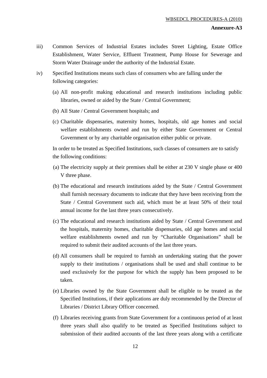#### **Annexure-A3**

- iii) Common Services of Industrial Estates includes Street Lighting, Estate Office Establishment, Water Service, Effluent Treatment, Pump House for Sewerage and Storm Water Drainage under the authority of the Industrial Estate.
- iv) Specified Institutions means such class of consumers who are falling under the following categories:
	- (a) All non-profit making educational and research institutions including public libraries, owned or aided by the State / Central Government;
	- (b) All State / Central Government hospitals; and
	- (c) Charitable dispensaries, maternity homes, hospitals, old age homes and social welfare establishments owned and run by either State Government or Central Government or by any charitable organisation either public or private.

In order to be treated as Specified Institutions, such classes of consumers are to satisfy the following conditions:

- (a) The electricity supply at their premises shall be either at 230 V single phase or 400 V three phase.
- (b) The educational and research institutions aided by the State / Central Government shall furnish necessary documents to indicate that they have been receiving from the State / Central Government such aid, which must be at least 50% of their total annual income for the last three years consecutively.
- (c) The educational and research institutions aided by State / Central Government and the hospitals, maternity homes, charitable dispensaries, old age homes and social welfare establishments owned and run by "Charitable Organisations" shall be required to submit their audited accounts of the last three years.
- (d) All consumers shall be required to furnish an undertaking stating that the power supply to their institutions / organisations shall be used and shall continue to be used exclusively for the purpose for which the supply has been proposed to be taken.
- (e) Libraries owned by the State Government shall be eligible to be treated as the Specified Institutions, if their applications are duly recommended by the Director of Libraries / District Library Officer concerned.
- (f) Libraries receiving grants from State Government for a continuous period of at least three years shall also qualify to be treated as Specified Institutions subject to submission of their audited accounts of the last three years along with a certificate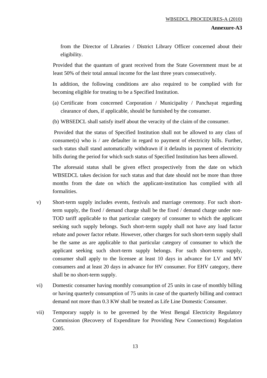from the Director of Libraries / District Library Officer concerned about their eligibility.

Provided that the quantum of grant received from the State Government must be at least 50% of their total annual income for the last three years consecutively.

 In addition, the following conditions are also required to be complied with for becoming eligible for treating to be a Specified Institution.

- (a) Certificate from concerned Corporation / Municipality / Panchayat regarding clearance of dues, if applicable, should be furnished by the consumer.
- (b) WBSEDCL shall satisfy itself about the veracity of the claim of the consumer.

 Provided that the status of Specified Institution shall not be allowed to any class of consumer(s) who is / are defaulter in regard to payment of electricity bills. Further, such status shall stand automatically withdrawn if it defaults in payment of electricity bills during the period for which such status of Specified Institution has been allowed.

The aforesaid status shall be given effect prospectively from the date on which WBSEDCL takes decision for such status and that date should not be more than three months from the date on which the applicant-institution has complied with all formalities.

- v) Short-term supply includes events, festivals and marriage ceremony. For such shortterm supply, the fixed / demand charge shall be the fixed / demand charge under non-TOD tariff applicable to that particular category of consumer to which the applicant seeking such supply belongs. Such short-term supply shall not have any load factor rebate and power factor rebate. However, other charges for such short-term supply shall be the same as are applicable to that particular category of consumer to which the applicant seeking such short-term supply belongs. For such short-term supply, consumer shall apply to the licensee at least 10 days in advance for LV and MV consumers and at least 20 days in advance for HV consumer. For EHV category, there shall be no short-term supply.
- vi) Domestic consumer having monthly consumption of 25 units in case of monthly billing or having quarterly consumption of 75 units in case of the quarterly billing and contract demand not more than 0.3 KW shall be treated as Life Line Domestic Consumer.
- vii) Temporary supply is to be governed by the West Bengal Electricity Regulatory Commission (Recovery of Expenditure for Providing New Connections) Regulation 2005.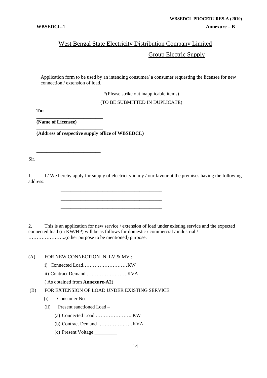## West Bengal State Electricity Distribution Company Limited \_\_\_\_\_\_\_\_\_\_\_\_\_\_\_\_\_\_\_\_\_\_\_\_\_\_\_\_\_\_\_\_\_\_\_\_\_Group Electric Supply

Application form to be used by an intending consumer/ a consumer requesting the licensee for new connection / extension of load.

\*(Please strike out inapplicable items)

(TO BE SUBMITTED IN DUPLICATE)

**To:** 

**(Name of Licensee)** 

**\_\_\_\_\_\_\_\_\_\_\_\_\_\_\_\_\_\_\_\_\_\_\_\_\_\_\_** 

**\_\_\_\_\_\_\_\_\_\_\_\_\_\_\_\_\_\_\_\_\_\_\_\_\_\_\_** 

**\_\_\_\_\_\_\_\_\_\_\_\_\_\_\_\_\_\_\_\_\_\_\_\_\_ \_\_\_\_\_\_\_\_\_\_\_\_\_\_\_\_\_\_\_\_\_\_\_\_\_\_** 

**(Address of respective supply office of WBSEDCL)** 

 $\overline{\phantom{a}}$  ,  $\overline{\phantom{a}}$  ,  $\overline{\phantom{a}}$  ,  $\overline{\phantom{a}}$  ,  $\overline{\phantom{a}}$  ,  $\overline{\phantom{a}}$  ,  $\overline{\phantom{a}}$  ,  $\overline{\phantom{a}}$  ,  $\overline{\phantom{a}}$  ,  $\overline{\phantom{a}}$  ,  $\overline{\phantom{a}}$  ,  $\overline{\phantom{a}}$  ,  $\overline{\phantom{a}}$  ,  $\overline{\phantom{a}}$  ,  $\overline{\phantom{a}}$  ,  $\overline{\phantom{a}}$  \_\_\_\_\_\_\_\_\_\_\_\_\_\_\_\_\_\_\_\_\_\_\_\_\_\_\_\_\_\_\_\_\_\_\_\_\_\_\_\_\_  $\overline{\phantom{a}}$  ,  $\overline{\phantom{a}}$  ,  $\overline{\phantom{a}}$  ,  $\overline{\phantom{a}}$  ,  $\overline{\phantom{a}}$  ,  $\overline{\phantom{a}}$  ,  $\overline{\phantom{a}}$  ,  $\overline{\phantom{a}}$  ,  $\overline{\phantom{a}}$  ,  $\overline{\phantom{a}}$  ,  $\overline{\phantom{a}}$  ,  $\overline{\phantom{a}}$  ,  $\overline{\phantom{a}}$  ,  $\overline{\phantom{a}}$  ,  $\overline{\phantom{a}}$  ,  $\overline{\phantom{a}}$  $\overline{\phantom{a}}$  ,  $\overline{\phantom{a}}$  ,  $\overline{\phantom{a}}$  ,  $\overline{\phantom{a}}$  ,  $\overline{\phantom{a}}$  ,  $\overline{\phantom{a}}$  ,  $\overline{\phantom{a}}$  ,  $\overline{\phantom{a}}$  ,  $\overline{\phantom{a}}$  ,  $\overline{\phantom{a}}$  ,  $\overline{\phantom{a}}$  ,  $\overline{\phantom{a}}$  ,  $\overline{\phantom{a}}$  ,  $\overline{\phantom{a}}$  ,  $\overline{\phantom{a}}$  ,  $\overline{\phantom{a}}$ 

Sir,

1. I / We hereby apply for supply of electricity in my / our favour at the premises having the following address:

2. This is an application for new service / extension of load under existing service and the expected connected load (in KW/HP) will be as follows for domestic / commercial / industrial / …………………..(other purpose to be mentioned) purpose.

(A) FOR NEW CONNECTION IN LV & MV :

- i) Connected Load………………………KW
- ii) Contract Demand …………………….KVA

( As obtained from **Annexure-A2**)

- (B) FOR EXTENSION OF LOAD UNDER EXISTING SERVICE:
	- (i) Consumer No.
	- (ii) Present sanctioned Load
		- (a) Connected Load …………………..KW
		- (b) Contract Demand …………………KVA
		- (c) Present Voltage \_\_\_\_\_\_\_\_\_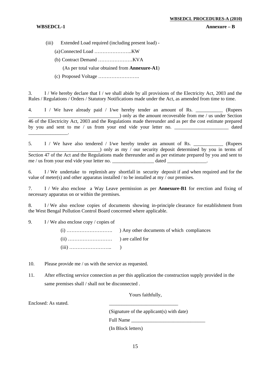#### **WBSEDCL-1** Annexure – B

- (iii) Extended Load required (including present load)
	- (a)Connected Load …………………..KW
	- (b) Contract Demand …………………KVA

(As per total value obtained from **Annexure-A1**)

(c) Proposed Voltage …………………….

3. I / We hereby declare that I / we shall abide by all provisions of the Electricity Act, 2003 and the Rules / Regulations / Orders / Statutory Notifications made under the Act, as amended from time to time.

4. I / We have already paid / I/we hereby tender an amount of Rs. (Rupees ) only as the amount recoverable from me / us under Section 46 of the Electricity Act, 2003 and the Regulations made thereunder and as per the cost estimate prepared by you and sent to me / us from your end vide your letter no. \_\_\_\_\_\_\_\_\_\_\_\_\_\_\_\_\_\_\_\_\_\_ dated \_\_\_\_\_\_\_\_\_\_\_\_\_\_\_\_.

5. I / We have also tendered / I/we hereby tender an amount of Rs. \_\_\_\_\_\_\_\_\_\_\_\_\_ (Rupees \_\_\_\_\_\_\_\_\_\_\_\_\_\_\_\_\_\_\_\_\_\_\_\_\_\_\_\_\_) only as my / our security deposit determined by you in terms of Section 47 of the Act and the Regulations made thereunder and as per estimate prepared by you and sent to me / us from your end vide your letter no.  $\theta$  dated

6. I / We undertake to replenish any shortfall in security deposit if and when required and for the value of meter(s) and other apparatus installed / to be installed at my  $\overline{\phantom{a}}$  our premises.

7. I / We also enclose a Way Leave permission as per **Annexure-B1** for erection and fixing of necessary apparatus on or within the premises.

8. I / We also enclose copies of documents showing in-principle clearance for establishment from the West Bengal Pollution Control Board concerned where applicable.

9. I / We also enclose copy / copies of

(i) ………………………. ) Any other documents of which compliances (ii) ……………………… ) are called for (iii) …………………….. )

- 10. Please provide me / us with the service as requested.
- 11. After effecting service connection as per this application the construction supply provided in the same premises shall / shall not be disconnected.

Yours faithfully,

Enclosed: As stated.

 (Signature of the applicant(s) with date) Full Name (In Block letters)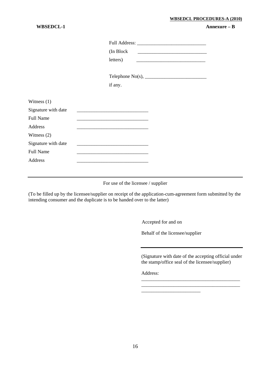#### **WBSEDCL PROCEDURES-A (2010)**

#### **WBSEDCL-1 Annexure – B**

|                     | (In Block)<br>letters)<br><u> 1989 - Johann Barn, mars ann an t-Amhainn an t-Amhainn an t-Amhainn an t-Amhainn an t-Amhainn an t-Amhainn an</u> |  |
|---------------------|-------------------------------------------------------------------------------------------------------------------------------------------------|--|
|                     |                                                                                                                                                 |  |
|                     | if any.                                                                                                                                         |  |
| Witness $(1)$       |                                                                                                                                                 |  |
| Signature with date |                                                                                                                                                 |  |
| <b>Full Name</b>    |                                                                                                                                                 |  |
| Address             |                                                                                                                                                 |  |
| Witness $(2)$       |                                                                                                                                                 |  |
| Signature with date |                                                                                                                                                 |  |
| <b>Full Name</b>    | <u> 1989 - Johann Barn, amerikan besteman besteman besteman besteman besteman besteman besteman besteman besteman</u>                           |  |
| Address             |                                                                                                                                                 |  |

For use of the licensee / supplier

(To be filled up by the licensee/supplier on receipt of the application-cum-agreement form submitted by the intending consumer and the duplicate is to be handed over to the latter)

Accepted for and on

Behalf of the licensee/supplier

\_\_\_\_\_\_\_\_\_\_\_\_\_\_\_\_\_\_\_\_\_\_\_\_

(Signature with date of the accepting official under the stamp/office seal of the licensee/supplier)

\_\_\_\_\_\_\_\_\_\_\_\_\_\_\_\_\_\_\_\_\_\_\_\_\_\_\_\_\_\_\_\_\_\_\_\_\_\_\_\_ \_\_\_\_\_\_\_\_\_\_\_\_\_\_\_\_\_\_\_\_\_\_\_\_\_\_\_\_\_\_\_\_\_\_\_\_\_\_\_\_

Address: